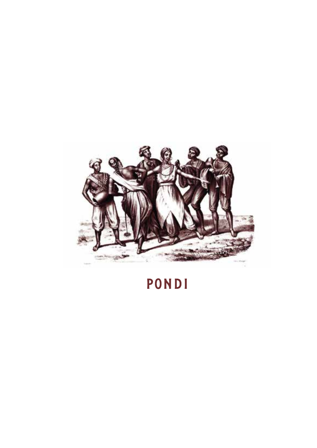

# PONDI